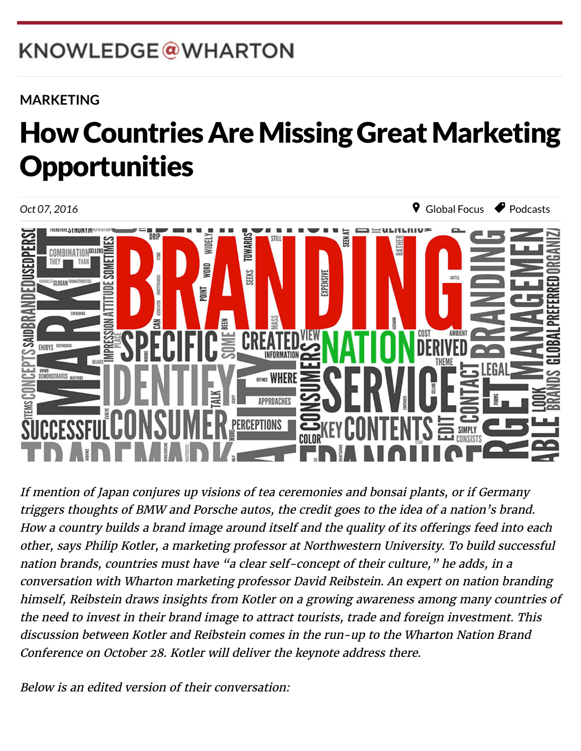# KNOWLEDGE@WHARTON

 $W_{\rm eff}$  which is the Pennsylvanian of  $P_{\rm eff}$ 

### **[MARKETING](http://knowledge.wharton.upenn.edu/topic/marketing/)**

### 繁體中文 How Countries Are Missing Great Marketing Opportunities



If mention of Japan conjures up visions of tea ceremonies and bonsai plants, or if Germany triggers thoughts of BMW and Porsche autos, the credit goes to the idea of a nation's brand. How a country builds a brand image around itself and the quality of its offerings feed into each other, says [Philip Kotler](http://www.kellogg.northwestern.edu/faculty/directory/kotler_philip.aspx), a marketing professor at Northwestern University. To build successful nation brands, countries must have "a clear self-concept of their culture," he adds, in a conversation with Wharton marketing professor [David Reibstein](http://knowledge.wharton.upenn.edu/faculty/reibstein/). An expert on nation branding himself, Reibstein draws insights from Kotler on a growing awareness among many countries of the need to invest in their brand image to attract tourists, trade and foreign investment. This [discussion between Kotler and Reibstein comes in the run-up to the Wharton Nation Brand](https://alumni.wharton.upenn.edu/event/wharton-nation-brand-conference/) Conference on October 28. Kotler will deliver the keynote address there.

Below is an edited version of their conversation: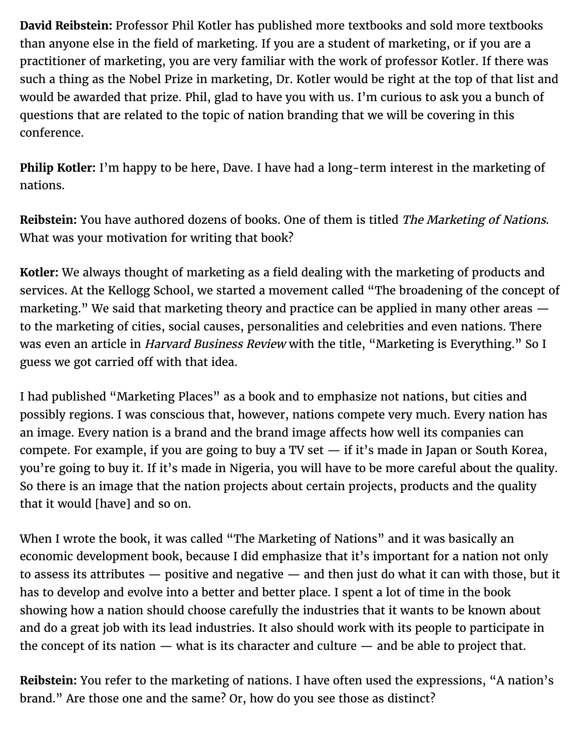**David Reibstein:** Professor Phil Kotler has published more textbooks and sold more textbooks than anyone else in the field of marketing. If you are a student of marketing, or if you are a practitioner of marketing, you are very familiar with the work of professor Kotler. If there was such a thing as the Nobel Prize in marketing, Dr. Kotler would be right at the top of that list and would be awarded that prize. Phil, glad to have you with us. I'm curious to ask you a bunch of questions that are related to the topic of nation branding that we will be covering in this conference.

**Philip Kotler:** I'm happy to be here, Dave. I have had a long-term interest in the marketing of nations.

**Reibstein:** You have authored dozens of books. One of them is titled The Marketing of Nations. What was your motivation for writing that book?

**Kotler:** We always thought of marketing as a field dealing with the marketing of products and services. At the Kellogg School, we started a movement called "The broadening of the concept of marketing." We said that marketing theory and practice can be applied in many other areas  $$ to the marketing of cities, social causes, personalities and celebrities and even nations. There was even an article in *Harvard Business Review* with the title, "Marketing is Everything." So I guess we got carried off with that idea.

I had published "Marketing Places" as a book and to emphasize not nations, but cities and possibly regions. I was conscious that, however, nations compete very much. Every nation has an image. Every nation is a brand and the brand image affects how well its companies can compete. For example, if you are going to buy a TV set  $-$  if it's made in Japan or South Korea, you're going to buy it. If it's made in Nigeria, you will have to be more careful about the quality. So there is an image that the nation projects about certain projects, products and the quality that it would [have] and so on.

When I wrote the book, it was called "The Marketing of Nations" and it was basically an economic development book, because I did emphasize that it's important for a nation not only to assess its attributes — positive and negative — and then just do what it can with those, but it has to develop and evolve into a better and better place. I spent a lot of time in the book showing how a nation should choose carefully the industries that it wants to be known about and do a great job with its lead industries. It also should work with its people to participate in the concept of its nation — what is its character and culture — and be able to project that.

**Reibstein:** You refer to the marketing of nations. I have often used the expressions, "A nation's brand." Are those one and the same? Or, how do you see those as distinct?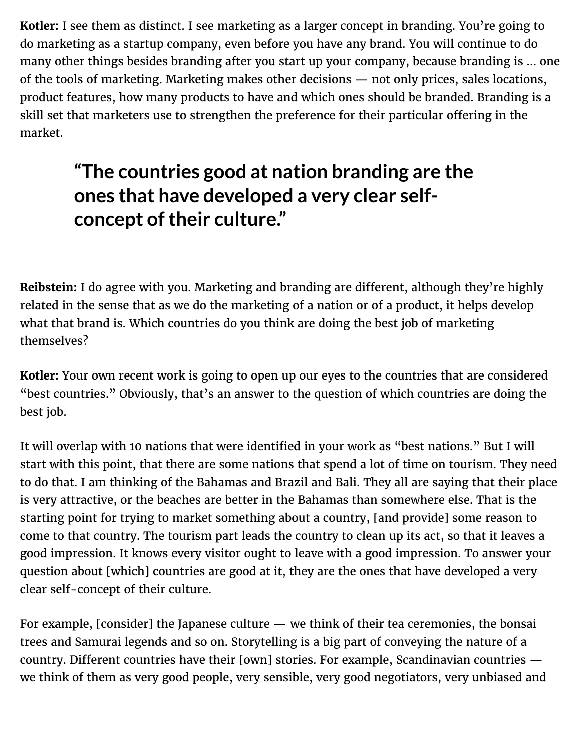**Kotler:** I see them as distinct. I see marketing as a larger concept in branding. You're going to do marketing as a startup company, even before you have any brand. You will continue to do many other things besides branding after you start up your company, because branding is … one of the tools of marketing. Marketing makes other decisions — not only prices, sales locations, product features, how many products to have and which ones should be branded. Branding is a skill set that marketers use to strengthen the preference for their particular offering in the market.

### **"The countries good at nation branding are the ones that have developed a very clear selfconcept of their culture."**

**Reibstein:** I do agree with you. Marketing and branding are different, although they're highly related in the sense that as we do the marketing of a nation or of a product, it helps develop what that brand is. Which countries do you think are doing the best job of marketing themselves?

**Kotler:** Your own recent work is going to open up our eyes to the countries that are considered "best countries." Obviously, that's an answer to the question of which countries are doing the best job.

It will overlap with 10 nations that were identified in your work as "best nations." But I will start with this point, that there are some nations that spend a lot of time on tourism. They need to do that. I am thinking of the Bahamas and Brazil and Bali. They all are saying that their place is very attractive, or the beaches are better in the Bahamas than somewhere else. That is the starting point for trying to market something about a country, [and provide] some reason to come to that country. The tourism part leads the country to clean up its act, so that it leaves a good impression. It knows every visitor ought to leave with a good impression. To answer your question about [which] countries are good at it, they are the ones that have developed a very clear self-concept of their culture.

For example, [consider] the Japanese culture — we think of their tea ceremonies, the bonsai trees and Samurai legends and so on. Storytelling is a big part of conveying the nature of a country. Different countries have their [own] stories. For example, Scandinavian countries  $$ we think of them as very good people, very sensible, very good negotiators, very unbiased and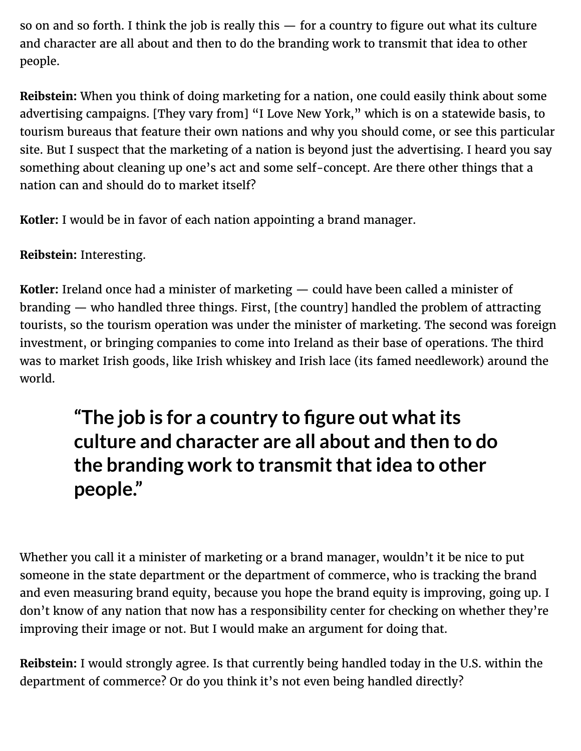so on and so forth. I think the job is really this — for a country to figure out what its culture and character are all about and then to do the branding work to transmit that idea to other people.

**Reibstein:** When you think of doing marketing for a nation, one could easily think about some advertising campaigns. [They vary from] "I Love New York," which is on a statewide basis, to tourism bureaus that feature their own nations and why you should come, or see this particular site. But I suspect that the marketing of a nation is beyond just the advertising. I heard you say something about cleaning up one's act and some self-concept. Are there other things that a nation can and should do to market itself?

**Kotler:** I would be in favor of each nation appointing a brand manager.

**Reibstein:** Interesting.

**Kotler:** Ireland once had a minister of marketing — could have been called a minister of branding — who handled three things. First, [the country] handled the problem of attracting tourists, so the tourism operation was under the minister of marketing. The second was foreign investment, or bringing companies to come into Ireland as their base of operations. The third was to market Irish goods, like Irish whiskey and Irish lace (its famed needlework) around the world.

# **"The job is for a country to figure out what its culture and character are all about and then to do the branding work to transmit that idea to other people."**

Whether you call it a minister of marketing or a brand manager, wouldn't it be nice to put someone in the state department or the department of commerce, who is tracking the brand and even measuring brand equity, because you hope the brand equity is improving, going up. I don't know of any nation that now has a responsibility center for checking on whether they're improving their image or not. But I would make an argument for doing that.

**Reibstein:** I would strongly agree. Is that currently being handled today in the U.S. within the department of commerce? Or do you think it's not even being handled directly?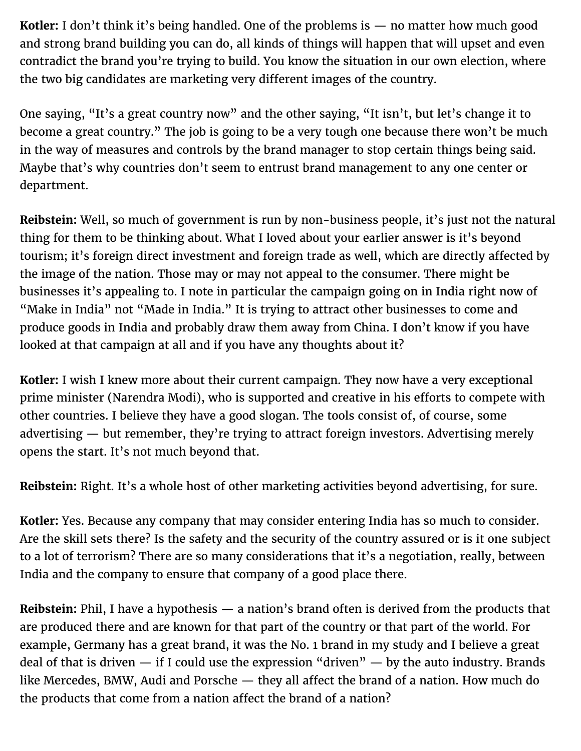**Kotler:** I don't think it's being handled. One of the problems is — no matter how much good and strong brand building you can do, all kinds of things will happen that will upset and even contradict the brand you're trying to build. You know the situation in our own election, where the two big candidates are marketing very different images of the country.

One saying, "It's a great country now" and the other saying, "It isn't, but let's change it to become a great country." The job is going to be a very tough one because there won't be much in the way of measures and controls by the brand manager to stop certain things being said. Maybe that's why countries don't seem to entrust brand management to any one center or department.

**Reibstein:** Well, so much of government is run by non-business people, it's just not the natural thing for them to be thinking about. What I loved about your earlier answer is it's beyond tourism; it's foreign direct investment and foreign trade as well, which are directly affected by the image of the nation. Those may or may not appeal to the consumer. There might be businesses it's appealing to. I note in particular the campaign going on in India right now of "Make in India" not "Made in India." It is trying to attract other businesses to come and produce goods in India and probably draw them away from China. I don't know if you have looked at that campaign at all and if you have any thoughts about it?

**Kotler:** I wish I knew more about their current campaign. They now have a very exceptional prime minister (Narendra Modi), who is supported and creative in his efforts to compete with other countries. I believe they have a good slogan. The tools consist of, of course, some advertising — but remember, they're trying to attract foreign investors. Advertising merely opens the start. It's not much beyond that.

**Reibstein:** Right. It's a whole host of other marketing activities beyond advertising, for sure.

**Kotler:** Yes. Because any company that may consider entering India has so much to consider. Are the skill sets there? Is the safety and the security of the country assured or is it one subject to a lot of terrorism? There are so many considerations that it's a negotiation, really, between India and the company to ensure that company of a good place there.

**Reibstein:** Phil, I have a hypothesis — a nation's brand often is derived from the products that are produced there and are known for that part of the country or that part of the world. For example, Germany has a great brand, it was the No. 1 brand in my study and I believe a great deal of that is driven  $-$  if I could use the expression "driven"  $-$  by the auto industry. Brands like Mercedes, BMW, Audi and Porsche  $-$  they all affect the brand of a nation. How much do the products that come from a nation affect the brand of a nation?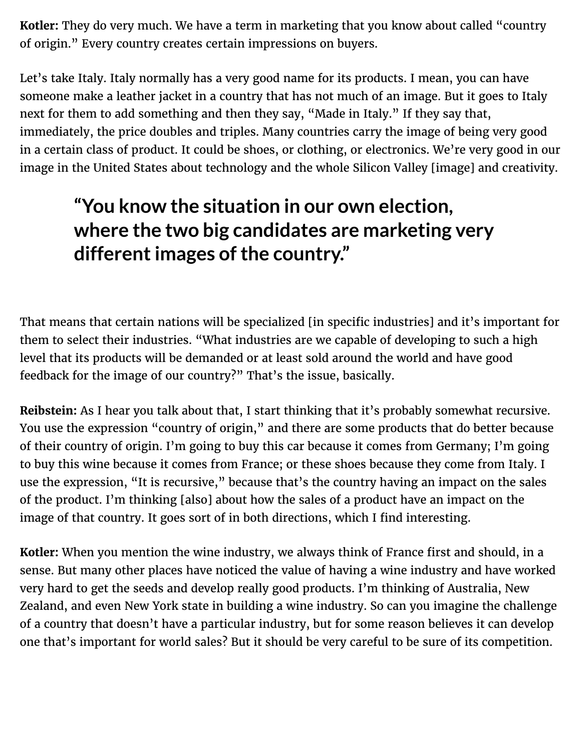**Kotler:** They do very much. We have a term in marketing that you know about called "country of origin." Every country creates certain impressions on buyers.

Let's take Italy. Italy normally has a very good name for its products. I mean, you can have someone make a leather jacket in a country that has not much of an image. But it goes to Italy next for them to add something and then they say, "Made in Italy." If they say that, immediately, the price doubles and triples. Many countries carry the image of being very good in a certain class of product. It could be shoes, or clothing, or electronics. We're very good in our image in the United States about technology and the whole Silicon Valley [image] and creativity.

# **"You know the situation in our own election, where the two big candidates are marketing very different images of the country."**

That means that certain nations will be specialized [in specific industries] and it's important for them to select their industries. "What industries are we capable of developing to such a high level that its products will be demanded or at least sold around the world and have good feedback for the image of our country?" That's the issue, basically.

**Reibstein:** As I hear you talk about that, I start thinking that it's probably somewhat recursive. You use the expression "country of origin," and there are some products that do better because of their country of origin. I'm going to buy this car because it comes from Germany; I'm going to buy this wine because it comes from France; or these shoes because they come from Italy. I use the expression, "It is recursive," because that's the country having an impact on the sales of the product. I'm thinking [also] about how the sales of a product have an impact on the image of that country. It goes sort of in both directions, which I find interesting.

**Kotler:** When you mention the wine industry, we always think of France first and should, in a sense. But many other places have noticed the value of having a wine industry and have worked very hard to get the seeds and develop really good products. I'm thinking of Australia, New Zealand, and even New York state in building a wine industry. So can you imagine the challenge of a country that doesn't have a particular industry, but for some reason believes it can develop one that's important for world sales? But it should be very careful to be sure of its competition.